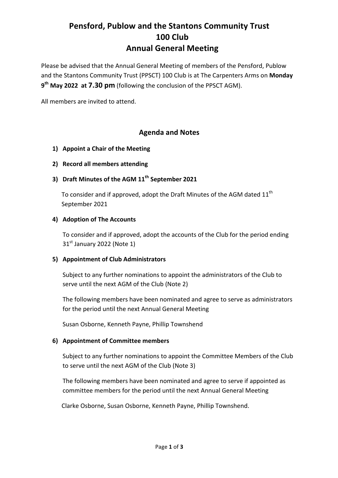## **Pensford, Publow and the Stantons Community Trust 100 Club Annual General Meeting**

Please be advised that the Annual General Meeting of members of the Pensford, Publow and the Stantons Community Trust (PPSCT) 100 Club is at The Carpenters Arms on Monday **9<sup>th</sup> May 2022 at 7.30 pm** (following the conclusion of the PPSCT AGM).

All members are invited to attend.

## **Agenda and Notes**

- **1)** Appoint a Chair of the Meeting
- **2) Record all members attending**
- **3)** Draft Minutes of the AGM  $11<sup>th</sup>$  September 2021

To consider and if approved, adopt the Draft Minutes of the AGM dated  $11<sup>th</sup>$ September 2021

### **4)** Adoption of The Accounts

To consider and if approved, adopt the accounts of the Club for the period ending  $31<sup>st</sup>$  January 2022 (Note 1)

### **5) Appointment of Club Administrators**

Subject to any further nominations to appoint the administrators of the Club to serve until the next AGM of the Club (Note 2)

The following members have been nominated and agree to serve as administrators for the period until the next Annual General Meeting

Susan Osborne, Kenneth Payne, Phillip Townshend

### **6) Appointment of Committee members**

Subject to any further nominations to appoint the Committee Members of the Club to serve until the next AGM of the Club (Note 3)

The following members have been nominated and agree to serve if appointed as committee members for the period until the next Annual General Meeting

Clarke Osborne, Susan Osborne, Kenneth Payne, Phillip Townshend.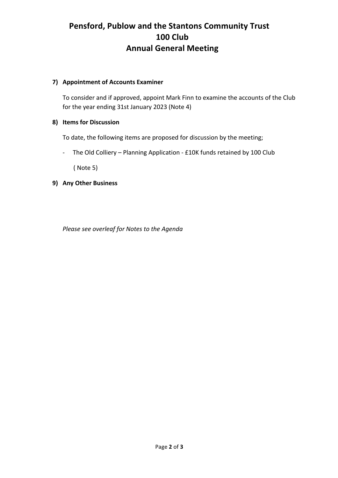# **Pensford, Publow and the Stantons Community Trust 100 Club Annual General Meeting**

### **7) Appointment of Accounts Examiner**

To consider and if approved, appoint Mark Finn to examine the accounts of the Club for the year ending 31st January 2023 (Note 4)

### **8)** Items for Discussion

To date, the following items are proposed for discussion by the meeting;

- The Old Colliery – Planning Application - £10K funds retained by 100 Club

(Note 5)

**9) Any Other Business**

*Please see overleaf for Notes to the Agenda*